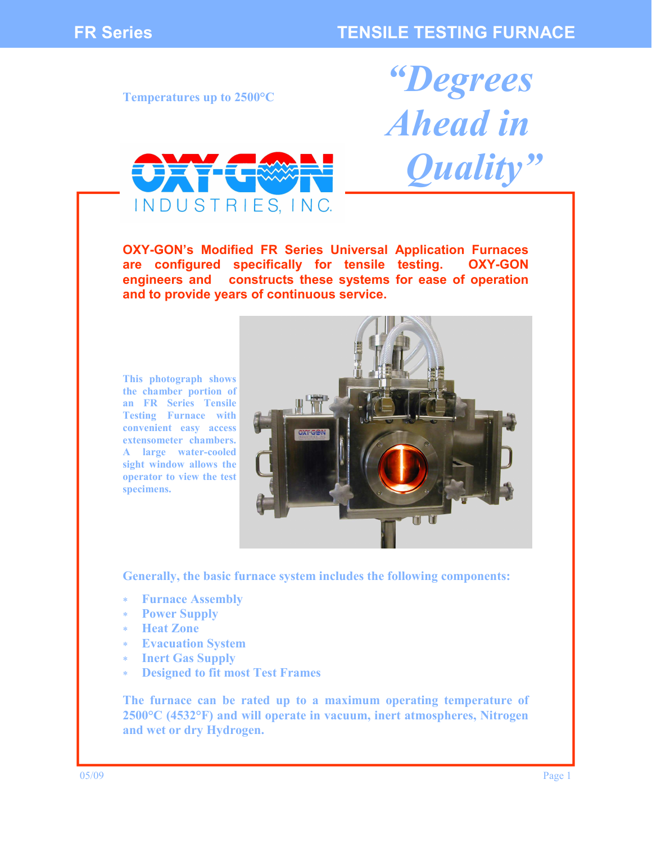*"Degrees* 

*Ahead in* 

 *Quality"* 

**Temperatures up to 2500°C** 



**OXY-GON's Modified FR Series Universal Application Furnaces are configured specifically for tensile testing. OXY-GON engineers and constructs these systems for ease of operation and to provide years of continuous service.** 

**This photograph shows the chamber portion of an FR Series Tensile Testing Furnace with convenient easy access extensometer chambers. A large water-cooled sight window allows the operator to view the test specimens.** 



**Generally, the basic furnace system includes the following components:** 

- ∗ **Furnace Assembly**
- ∗ **Power Supply**
- ∗ **Heat Zone**
- **Evacuation System**
- ∗ **Inert Gas Supply**
- **Designed to fit most Test Frames**

**The furnace can be rated up to a maximum operating temperature of 2500°C (4532°F) and will operate in vacuum, inert atmospheres, Nitrogen and wet or dry Hydrogen.**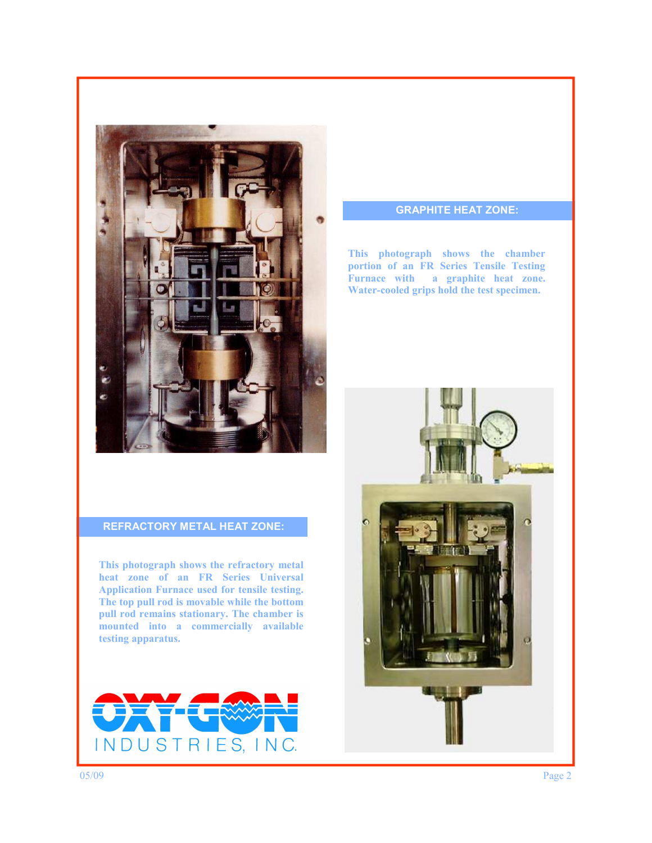

# **REFRACTORY METAL HEAT ZONE:**

**This photograph shows the refractory metal heat zone of an FR Series Universal Application Furnace used for tensile testing. The top pull rod is movable while the bottom pull rod remains stationary. The chamber is mounted into a commercially available testing apparatus.** 



# **GRAPHITE HEAT ZONE:**

**This photograph shows the chamber portion of an FR Series Tensile Testing Furnace with a graphite heat zone. Water-cooled grips hold the test specimen.** 

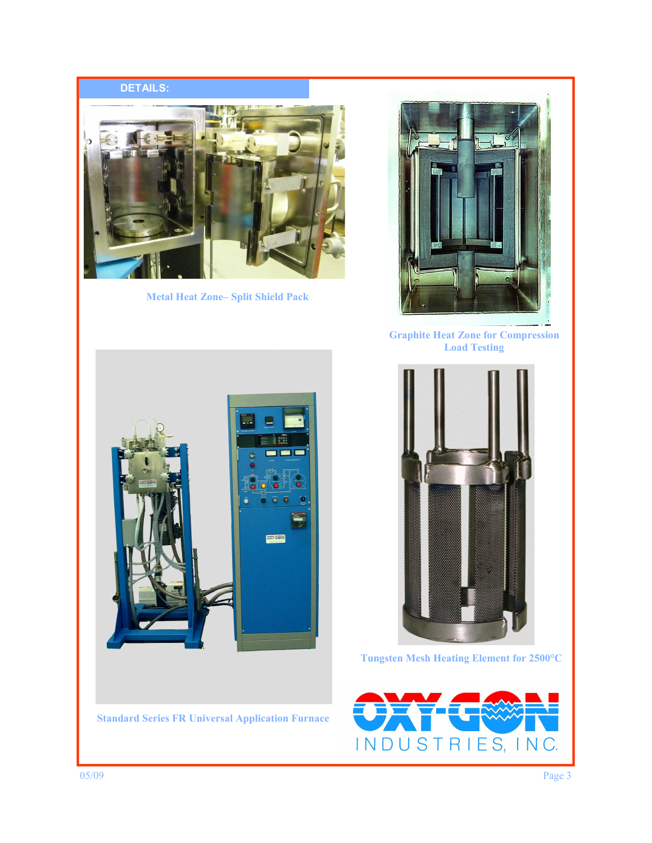# **DETAILS:**



**Metal Heat Zone– Split Shield Pack** 



**Graphite Heat Zone for Compression Load Testing** 



**Standard Series FR Universal Application Furnace** 



**Tungsten Mesh Heating Element for 2500°C**